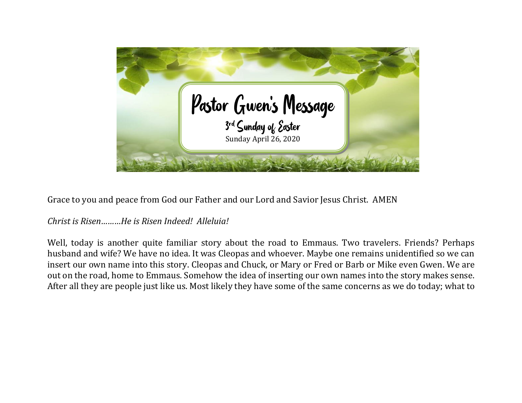

Grace to you and peace from God our Father and our Lord and Savior Jesus Christ. AMEN

## *Christ is Risen………He is Risen Indeed! Alleluia!*

Well, today is another quite familiar story about the road to Emmaus. Two travelers. Friends? Perhaps husband and wife? We have no idea. It was Cleopas and whoever. Maybe one remains unidentified so we can insert our own name into this story. Cleopas and Chuck, or Mary or Fred or Barb or Mike even Gwen. We are out on the road, home to Emmaus. Somehow the idea of inserting our own names into the story makes sense. After all they are people just like us. Most likely they have some of the same concerns as we do today; what to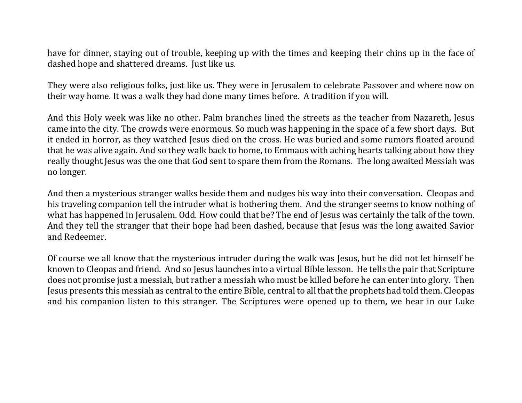have for dinner, staying out of trouble, keeping up with the times and keeping their chins up in the face of dashed hope and shattered dreams. Just like us.

They were also religious folks, just like us. They were in Jerusalem to celebrate Passover and where now on their way home. It was a walk they had done many times before. A tradition if you will.

And this Holy week was like no other. Palm branches lined the streets as the teacher from Nazareth, Jesus came into the city. The crowds were enormous. So much was happening in the space of a few short days. But it ended in horror, as they watched Jesus died on the cross. He was buried and some rumors floated around that he was alive again. And so they walk back to home, to Emmaus with aching hearts talking about how they really thought Jesus was the one that God sent to spare them from the Romans. The long awaited Messiah was no longer.

And then a mysterious stranger walks beside them and nudges his way into their conversation. Cleopas and his traveling companion tell the intruder what is bothering them. And the stranger seems to know nothing of what has happened in Jerusalem. Odd. How could that be? The end of Jesus was certainly the talk of the town. And they tell the stranger that their hope had been dashed, because that Jesus was the long awaited Savior and Redeemer.

Of course we all know that the mysterious intruder during the walk was Jesus, but he did not let himself be known to Cleopas and friend. And so Jesus launches into a virtual Bible lesson. He tells the pair that Scripture does not promise just a messiah, but rather a messiah who must be killed before he can enter into glory. Then Jesus presents this messiah as central to the entire Bible, central to all that the prophets had told them. Cleopas and his companion listen to this stranger. The Scriptures were opened up to them, we hear in our Luke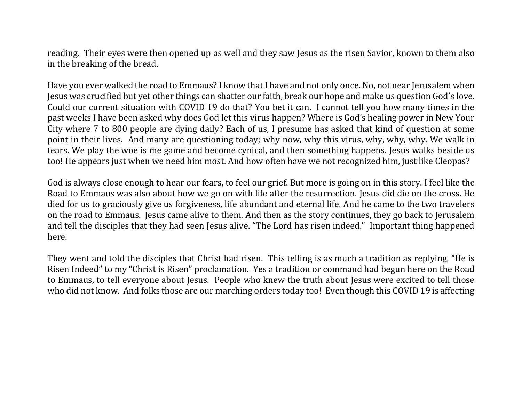reading. Their eyes were then opened up as well and they saw Jesus as the risen Savior, known to them also in the breaking of the bread.

Have you ever walked the road to Emmaus? I know that I have and not only once. No, not near Jerusalem when Jesus was crucified but yet other things can shatter our faith, break our hope and make us question God's love. Could our current situation with COVID 19 do that? You bet it can. I cannot tell you how many times in the past weeks I have been asked why does God let this virus happen? Where is God's healing power in New Your City where 7 to 800 people are dying daily? Each of us, I presume has asked that kind of question at some point in their lives. And many are questioning today; why now, why this virus, why, why, why. We walk in tears. We play the woe is me game and become cynical, and then something happens. Jesus walks beside us too! He appears just when we need him most. And how often have we not recognized him, just like Cleopas?

God is always close enough to hear our fears, to feel our grief. But more is going on in this story. I feel like the Road to Emmaus was also about how we go on with life after the resurrection. Jesus did die on the cross. He died for us to graciously give us forgiveness, life abundant and eternal life. And he came to the two travelers on the road to Emmaus. Jesus came alive to them. And then as the story continues, they go back to Jerusalem and tell the disciples that they had seen Jesus alive. "The Lord has risen indeed." Important thing happened here.

They went and told the disciples that Christ had risen. This telling is as much a tradition as replying, "He is Risen Indeed" to my "Christ is Risen" proclamation. Yes a tradition or command had begun here on the Road to Emmaus, to tell everyone about Jesus. People who knew the truth about Jesus were excited to tell those who did not know. And folks those are our marching orders today too! Even though this COVID 19 is affecting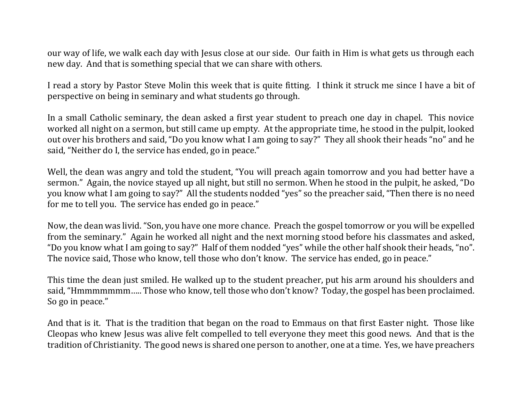our way of life, we walk each day with Jesus close at our side. Our faith in Him is what gets us through each new day. And that is something special that we can share with others.

I read a story by Pastor Steve Molin this week that is quite fitting. I think it struck me since I have a bit of perspective on being in seminary and what students go through.

In a small Catholic seminary, the dean asked a first year student to preach one day in chapel. This novice worked all night on a sermon, but still came up empty. At the appropriate time, he stood in the pulpit, looked out over his brothers and said, "Do you know what I am going to say?" They all shook their heads "no" and he said, "Neither do I, the service has ended, go in peace."

Well, the dean was angry and told the student, "You will preach again tomorrow and you had better have a sermon." Again, the novice stayed up all night, but still no sermon. When he stood in the pulpit, he asked, "Do you know what I am going to say?" All the students nodded "yes" so the preacher said, "Then there is no need for me to tell you. The service has ended go in peace."

Now, the dean was livid. "Son, you have one more chance. Preach the gospel tomorrow or you will be expelled from the seminary." Again he worked all night and the next morning stood before his classmates and asked, "Do you know what I am going to say?" Half of them nodded "yes" while the other half shook their heads, "no". The novice said, Those who know, tell those who don't know. The service has ended, go in peace."

This time the dean just smiled. He walked up to the student preacher, put his arm around his shoulders and said, "Hmmmmmmm….. Those who know, tell those who don't know? Today, the gospel has been proclaimed. So go in peace."

And that is it. That is the tradition that began on the road to Emmaus on that first Easter night. Those like Cleopas who knew Jesus was alive felt compelled to tell everyone they meet this good news. And that is the tradition of Christianity. The good news is shared one person to another, one at a time. Yes, we have preachers